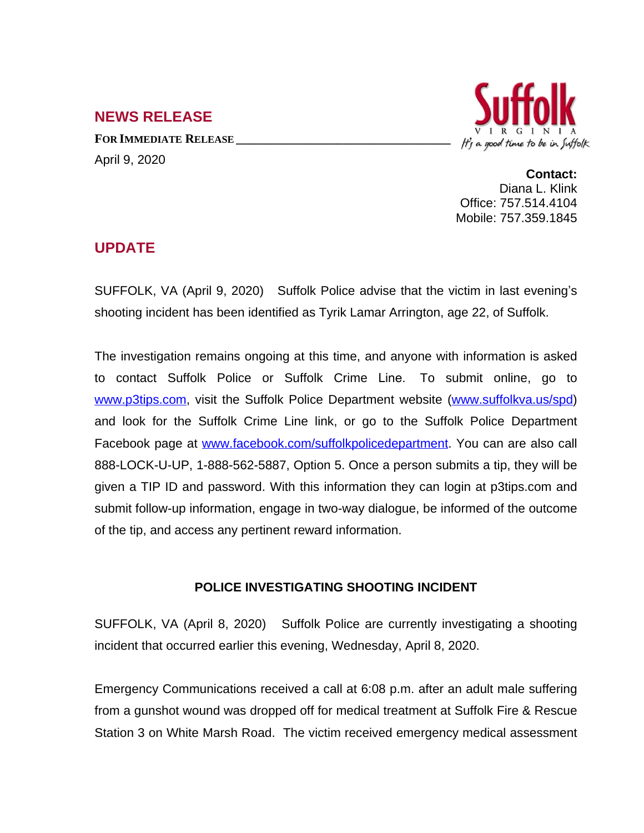## **NEWS RELEASE**

**FOR IMMEDIATE RELEASE \_\_\_\_\_\_\_\_\_\_\_\_\_\_\_\_\_\_\_\_\_\_\_\_\_\_\_\_\_\_\_\_\_\_** April 9, 2020



**Contact:** Diana L. Klink Office: 757.514.4104 Mobile: 757.359.1845

## **UPDATE**

SUFFOLK, VA (April 9, 2020) Suffolk Police advise that the victim in last evening's shooting incident has been identified as Tyrik Lamar Arrington, age 22, of Suffolk.

The investigation remains ongoing at this time, and anyone with information is asked to contact Suffolk Police or Suffolk Crime Line. To submit online, go to [www.p3tips.com](http://www.p3tips.com), visit the Suffolk Police Department website ([www.suffolkva.us/spd](http://www.suffolkva.us/spd)) and look for the Suffolk Crime Line link, or go to the Suffolk Police Department Facebook page at [www.facebook.com/suffolkpolicedepartment](http://www.facebook.com/suffolkpolicedepartment). You can are also call 888-LOCK-U-UP, 1-888-562-5887, Option 5. Once a person submits a tip, they will be given a TIP ID and password. With this information they can login at p3tips.com and submit follow-up information, engage in two-way dialogue, be informed of the outcome of the tip, and access any pertinent reward information.

## **POLICE INVESTIGATING SHOOTING INCIDENT**

SUFFOLK, VA (April 8, 2020) Suffolk Police are currently investigating a shooting incident that occurred earlier this evening, Wednesday, April 8, 2020.

Emergency Communications received a call at 6:08 p.m. after an adult male suffering from a gunshot wound was dropped off for medical treatment at Suffolk Fire & Rescue Station 3 on White Marsh Road. The victim received emergency medical assessment